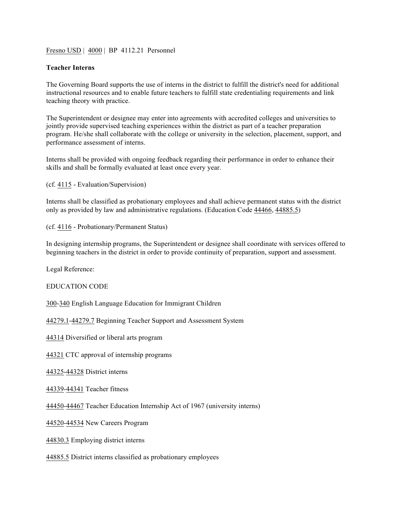Fresn<u>o USD</u> | 4000 | BP 4112.21 Personnel

## **Teacher Interns**

The Governing Board supports the use of interns in the district to fulfill the district's need for additional instructional resources and to enable future teachers to fulfill state credentialing requirements and link teaching theory with practice.

The Superintendent or designee may enter into agreements with accredited colleges and universities to jointly provide supervised teaching experiences within the district as part of a teacher preparation program. He/she shall collaborate with the college or university in the selection, placement, support, and performance assessment of interns.

Interns shall be provided with ongoing feedback regarding their performance in order to enhance their skills and shall be formally evaluated at least once every year.

(cf. 4115 - Evaluation/Supervision)

Interns shall be classified as probationary employees and shall achieve permanent status with the district only as provided by law and administrative regulations. (Education Code 44466, 44885.5)

(cf. 4116 - Probationary/Permanent Status)

In designing internship programs, the Superintendent or designee shall coordinate with services offered to beginning teachers in the district in order to provide continuity of preparation, support and assessment.

Legal Reference:

EDUCATION CODE

300-340 English Language Education for Immigrant Children

44279.1-44279.7 Beginning Teacher Support and Assessment System

44314 Diversified or liberal arts program

44321 CTC approval of internship programs

44325-44328 District interns

44339-44341 Teacher fitness

44450-44467 Teacher Education Internship Act of 1967 (university interns)

44520-44534 New Careers Program

44830.3 Employing district interns

44885.5 District interns classified as probationary employees